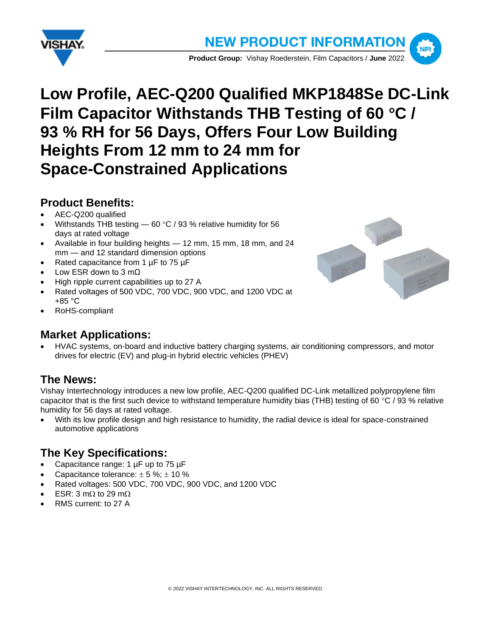



# **Low Profile, AEC-Q200 Qualified MKP1848Se DC-Link Film Capacitor Withstands THB Testing of 60 C / 93 % RH for 56 Days, Offers Four Low Building Heights From 12 mm to 24 mm for Space-Constrained Applications**

## **Product Benefits:**

- AEC-Q200 qualified
- Withstands THB testing  $-$  60 °C / 93 % relative humidity for 56 days at rated voltage
- Available in four building heights 12 mm, 15 mm, 18 mm, and 24 mm — and 12 standard dimension options
- Rated capacitance from 1 µF to 75 µF
- Low ESR down to 3 mΩ
- High ripple current capabilities up to 27 A
- Rated voltages of 500 VDC, 700 VDC, 900 VDC, and 1200 VDC at +85 °C
- RoHS-compliant

### **Market Applications:**



• HVAC systems, on-board and inductive battery charging systems, air conditioning compressors, and motor drives for electric (EV) and plug-in hybrid electric vehicles (PHEV)

### **The News:**

Vishay Intertechnology introduces a new low profile, AEC-Q200 qualified DC-Link metallized polypropylene film capacitor that is the first such device to withstand temperature humidity bias (THB) testing of 60  $\degree$ C / 93 % relative humidity for 56 days at rated voltage.

• With its low profile design and high resistance to humidity, the radial device is ideal for space-constrained automotive applications

### **The Key Specifications:**

- Capacitance range: 1 µF up to 75 µF
- Capacitance tolerance:  $\pm$  5 %;  $\pm$  10 %
- Rated voltages: 500 VDC, 700 VDC, 900 VDC, and 1200 VDC
- ESR: 3 m $\Omega$  to 29 m $\Omega$
- RMS current: to 27 A